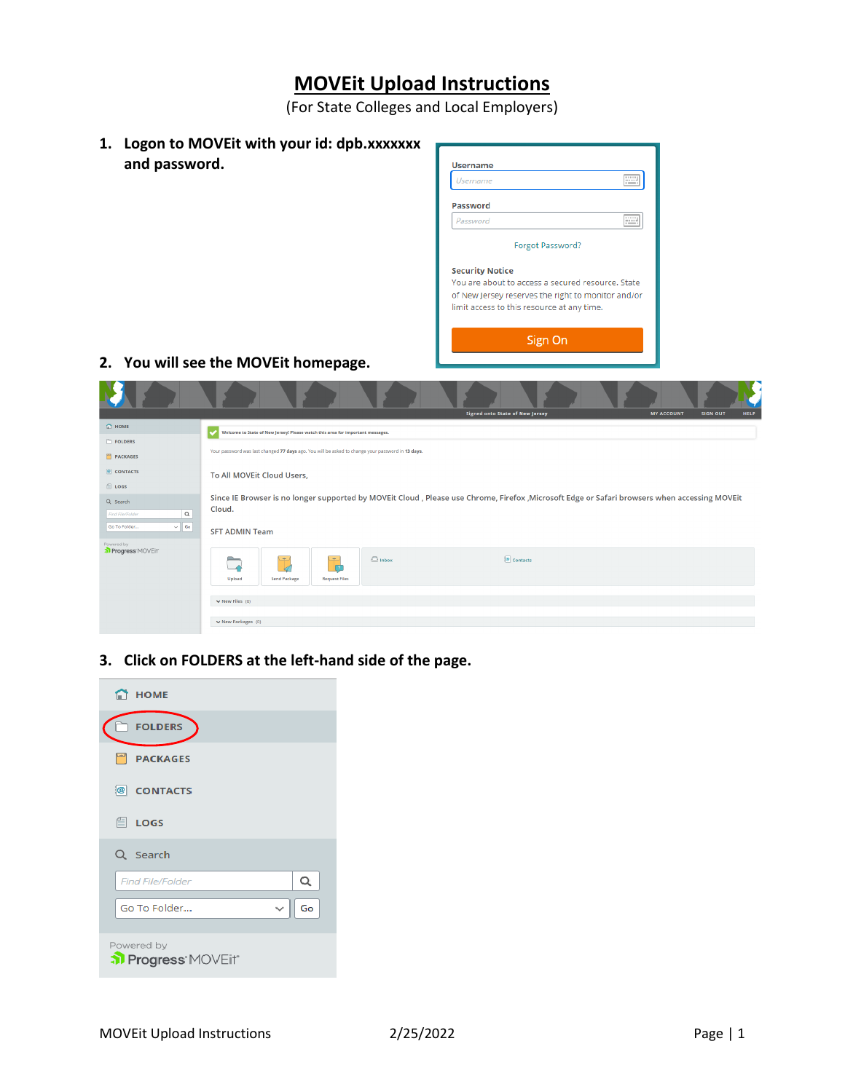## **MOVEit Upload Instructions**

(For State Colleges and Local Employers)

| 1. Logon to MOVE it with your id: dpb.xxxxxxx |  |  |  |  |
|-----------------------------------------------|--|--|--|--|
| and password.                                 |  |  |  |  |

| Username                                           |                  | <br><b>COMMERCIAL</b> |                 |  |
|----------------------------------------------------|------------------|-----------------------|-----------------|--|
|                                                    |                  |                       |                 |  |
| Password                                           |                  |                       |                 |  |
| Password                                           |                  | <b>SOP</b>            |                 |  |
|                                                    |                  |                       |                 |  |
|                                                    | Forgot Password? |                       |                 |  |
| <b>Security Notice</b>                             |                  |                       |                 |  |
| You are about to access a secured resource, State  |                  |                       |                 |  |
| of New Jersey reserves the right to monitor and/or |                  |                       |                 |  |
| limit access to this resource at any time.         |                  |                       |                 |  |
|                                                    |                  |                       |                 |  |
|                                                    | Sign On          |                       |                 |  |
|                                                    |                  |                       |                 |  |
|                                                    |                  |                       |                 |  |
|                                                    |                  |                       |                 |  |
|                                                    |                  |                       |                 |  |
| <b>Signed onto State of New Jersey</b>             |                  | <b>MY ACCOUNT</b>     | <b>SIGN OUT</b> |  |
|                                                    |                  |                       |                 |  |
|                                                    |                  |                       |                 |  |

## **2. You will see the MOVEit homepage.**

**STATISTICS** 

<u> The Communication of the Communication of the Communication of the Communication of the Communication of the Communication of the Communication of the Communication of the Communication of the Communication of the Commun</u>

X ٠

|                                                                                 | <b>Signed onto State of New Jersey</b><br><b>MY ACCOUNT</b><br><b>SIGN OUT</b><br><b>HELP</b>                                                                                   |  |  |  |  |  |
|---------------------------------------------------------------------------------|---------------------------------------------------------------------------------------------------------------------------------------------------------------------------------|--|--|--|--|--|
| $\bigcap$ HOME                                                                  | Welcome to State of New Jersey! Please watch this area for important messages.<br>مد                                                                                            |  |  |  |  |  |
| FOLDERS                                                                         |                                                                                                                                                                                 |  |  |  |  |  |
| PACKAGES                                                                        | Your password was last changed 77 days ago. You will be asked to change your password in 13 days.                                                                               |  |  |  |  |  |
| CONTACTS                                                                        | To All MOVEIt Cloud Users,                                                                                                                                                      |  |  |  |  |  |
| $\Box$ LOGS                                                                     |                                                                                                                                                                                 |  |  |  |  |  |
| Q Search<br>$\mathsf Q$<br><b>Find File/Folder</b><br>$\vee$ 60<br>Go To Folder | Since IE Browser is no longer supported by MOVEit Cloud, Please use Chrome, Firefox, Microsoft Edge or Safari browsers when accessing MOVEit<br>Cloud.<br><b>SFT ADMIN Team</b> |  |  |  |  |  |
| Powered by<br>Progress MOVEit                                                   | $\Box$ Inbox<br>$\boxed{\circledast}$ Contacts<br><b>Property</b><br>$\rightarrow$<br>÷<br>r<br><b>Send Package</b><br><b>Request Files</b><br>Upload<br>$\vee$ New Files (0)   |  |  |  |  |  |
| $\vee$ New Packages (0)                                                         |                                                                                                                                                                                 |  |  |  |  |  |

**Contract Contract** 

**3. Click on FOLDERS at the left-hand side of the page.** 

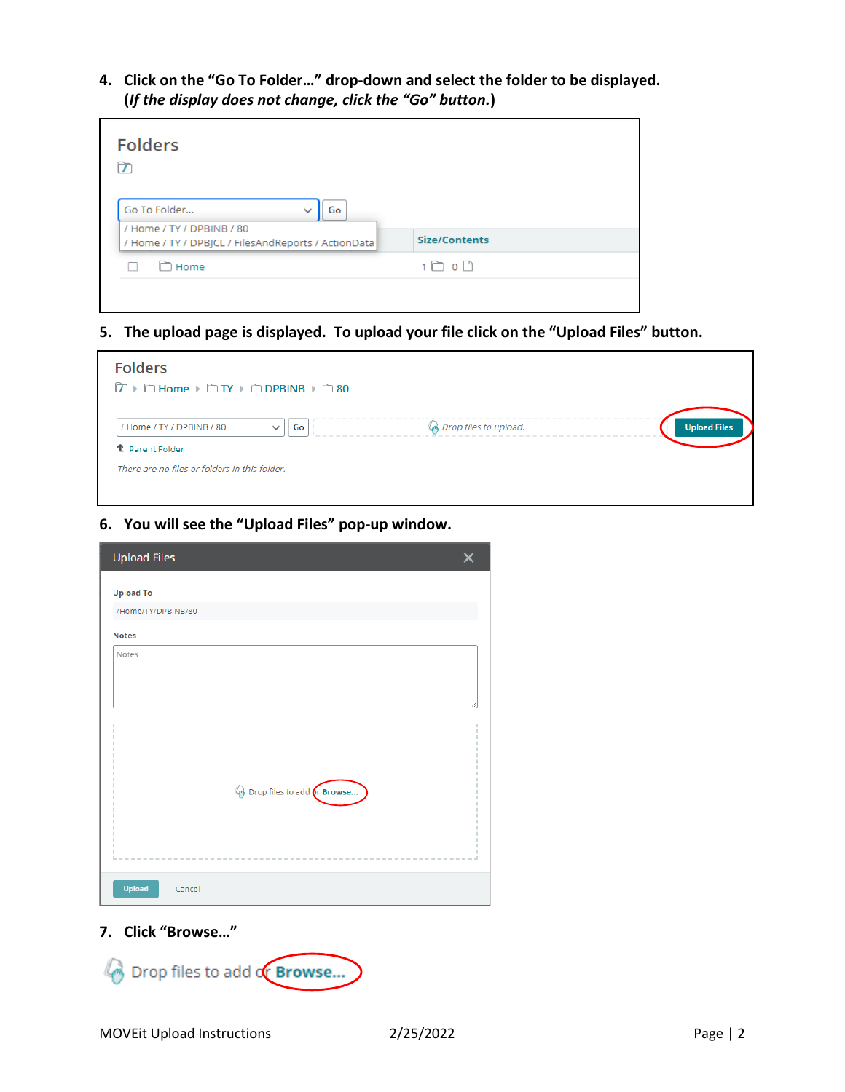**4. Click on the "Go To Folder…" drop-down and select the folder to be displayed. (***If the display does not change, click the "Go" button.***)** 

| <b>Folders</b>                                                 |                         |
|----------------------------------------------------------------|-------------------------|
| Go To Folder<br>Go<br>$\check{ }$<br>/ Home / TY / DPBINB / 80 |                         |
| / Home / TY / DPBJCL / FilesAndReports / ActionData            | <b>Size/Contents</b>    |
| Home                                                           | $1 \bigcirc 0 \bigcirc$ |
|                                                                |                         |

**5. The upload page is displayed. To upload your file click on the "Upload Files" button.** 

| <b>Folders</b><br><b>D</b> ▶ □ Home ▶ □ TY ▶ □ DPBINB ▶ □ 80                  |                                  |                     |
|-------------------------------------------------------------------------------|----------------------------------|---------------------|
| Go<br>/ Home / TY / DPBINB / 80<br>$\checkmark$<br><sup>1</sup> Parent Folder | <u>്രീ</u> Drop files to upload. | <b>Upload Files</b> |
| There are no files or folders in this folder.                                 |                                  |                     |

**6. You will see the "Upload Files" pop-up window.** 

| <b>Upload Files</b>                 |  |
|-------------------------------------|--|
| <b>Upload To</b>                    |  |
| /Home/TY/DPBINB/80                  |  |
| <b>Notes</b>                        |  |
| Notes                               |  |
|                                     |  |
|                                     |  |
|                                     |  |
|                                     |  |
|                                     |  |
| <b>Broop files to add or Browse</b> |  |
|                                     |  |
|                                     |  |
|                                     |  |
|                                     |  |
| <b>Upload</b><br>Cancel             |  |

**7. Click "Browse…"**

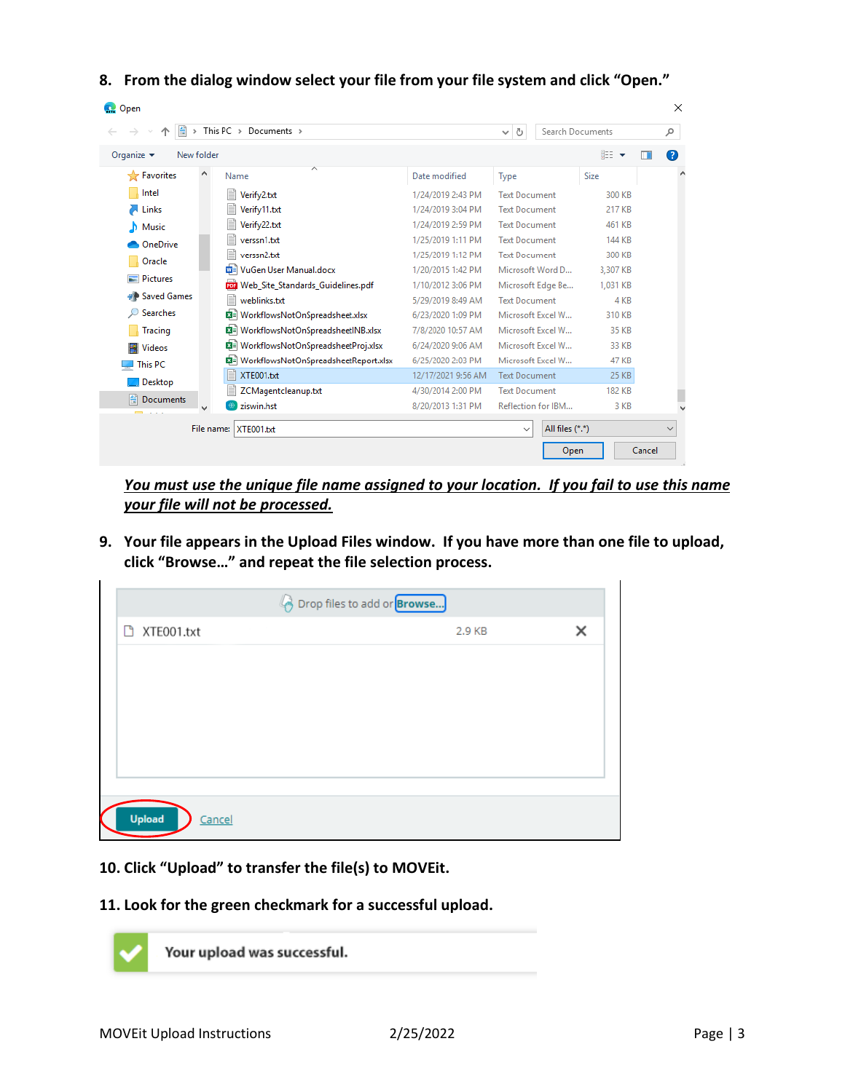**8. From the dialog window select your file from your file system and click "Open."** 

| <b>C.</b> Open                                          |                                               |                                 |                      |               |        |
|---------------------------------------------------------|-----------------------------------------------|---------------------------------|----------------------|---------------|--------|
| This PC $\rightarrow$ Documents $\rightarrow$<br>兽<br>r | Search Documents<br>Õ<br>$\checkmark$         |                                 | ۹                    |               |        |
| Organize $\blacktriangledown$<br>New folder             |                                               |                                 |                      | 脂: ▼          | Q      |
| ۸<br><b>Tre</b> Favorites                               | $\overline{\wedge}$<br>Name                   | Date modified                   | Type                 | Size          | ∧      |
| Intel                                                   | Verify2.txt                                   | 1/24/2019 2:43 PM               | <b>Text Document</b> | 300 KB        |        |
| Links                                                   | Verify11.txt                                  | 1/24/2019 3:04 PM               | <b>Text Document</b> | 217 KB        |        |
| Music                                                   | Verify22.txt                                  | 1/24/2019 2:59 PM               | <b>Text Document</b> | 461 KB        |        |
| OneDrive                                                | verssn1.bt                                    | 1/25/2019 1:11 PM               | <b>Text Document</b> | 144 KB        |        |
| Oracle                                                  | verssn2.bt                                    | 1/25/2019 1:12 PM               | <b>Text Document</b> | 300 KB        |        |
| <b>Pictures</b>                                         | WE VuGen User Manual.docx                     | 1/20/2015 1:42 PM               | Microsoft Word D     | 3,307 KB      |        |
|                                                         | <b>PDP</b> Web Site Standards Guidelines.pdf  | 1/10/2012 3:06 PM               | Microsoft Edge Be    | 1.031 KB      |        |
| ₩ Saved Games                                           | weblinks.txt                                  | 5/29/2019 8:49 AM               | <b>Text Document</b> | 4 KB          |        |
| <b>Searches</b>                                         | 图 WorkflowsNotOnSpreadsheet.xlsx              | 6/23/2020 1:09 PM               | Microsoft Excel W    | 310 KB        |        |
| <b>Tracing</b>                                          | 图 WorkflowsNotOnSpreadsheetINB.xlsx           | 7/8/2020 10:57 AM               | Microsoft Excel W    | 35 KB         |        |
| <b>Videos</b>                                           | 【■ WorkflowsNotOnSpreadsheetProj.xlsx         | 6/24/2020 9:06 AM               | Microsoft Excel W    | 33 KB         |        |
| This PC                                                 | <b>韓</b> WorkflowsNotOnSpreadsheetReport.xlsx | 6/25/2020 2:03 PM               | Microsoft Excel W    | 47 KB         |        |
| Desktop                                                 | XTE001.bt                                     | 12/17/2021 9:56 AM              | <b>Text Document</b> | <b>25 KB</b>  |        |
| 肖<br><b>Documents</b>                                   | ZCMagentcleanup.txt                           | 4/30/2014 2:00 PM               | <b>Text Document</b> | <b>182 KB</b> |        |
| <b>Contract Contract Contract</b>                       | ziswin.hst                                    | 8/20/2013 1:31 PM               | Reflection for IBM   | 3 KB          |        |
| File name:<br>XTE001.txt                                |                                               | All files (*.*)<br>$\checkmark$ |                      | $\checkmark$  |        |
|                                                         |                                               |                                 | Open                 |               | Cancel |

*You must use the unique file name assigned to your location. If you fail to use this name your file will not be processed.*

**9. Your file appears in the Upload Files window. If you have more than one file to upload, click "Browse…" and repeat the file selection process.** 

| <b>Browse</b> Drop files to add or <b>Browse</b> |        |   |  |  |
|--------------------------------------------------|--------|---|--|--|
| □ XTE001.txt                                     | 2.9 KB | × |  |  |
|                                                  |        |   |  |  |
|                                                  |        |   |  |  |
|                                                  |        |   |  |  |
|                                                  |        |   |  |  |
|                                                  |        |   |  |  |
|                                                  |        |   |  |  |
| <b>Upload</b><br>Cancel                          |        |   |  |  |

**10. Click "Upload" to transfer the file(s) to MOVEit.** 

## **11. Look for the green checkmark for a successful upload.**



Your upload was successful.